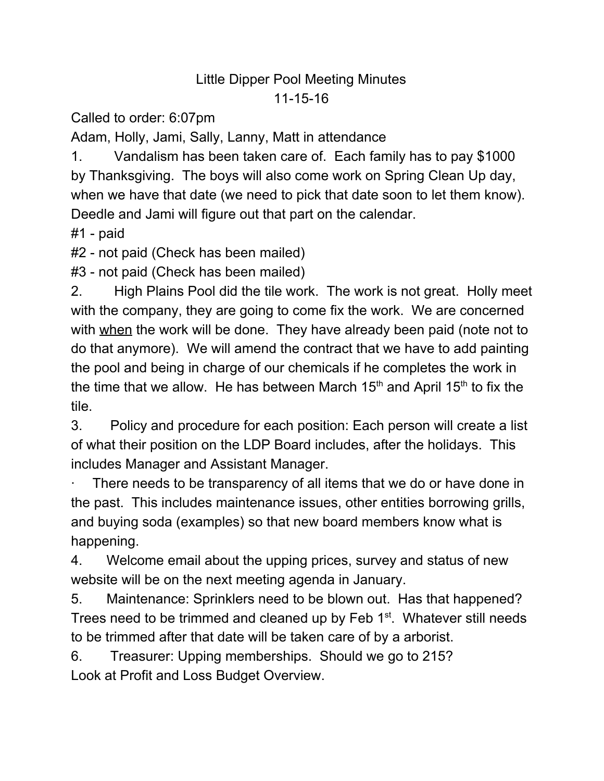## Little Dipper Pool Meeting Minutes 11-15-16

Called to order: 6:07pm

Adam, Holly, Jami, Sally, Lanny, Matt in attendance

1. Vandalism has been taken care of. Each family has to pay \$1000 by Thanksgiving. The boys will also come work on Spring Clean Up day, when we have that date (we need to pick that date soon to let them know). Deedle and Jami will figure out that part on the calendar.

#1 - paid

#2 - not paid (Check has been mailed)

#3 - not paid (Check has been mailed)

2. High Plains Pool did the tile work. The work is not great. Holly meet with the company, they are going to come fix the work. We are concerned with when the work will be done. They have already been paid (note not to do that anymore). We will amend the contract that we have to add painting the pool and being in charge of our chemicals if he completes the work in the time that we allow. He has between March 15<sup>th</sup> and April 15<sup>th</sup> to fix the tile.

3. Policy and procedure for each position: Each person will create a list of what their position on the LDP Board includes, after the holidays. This includes Manager and Assistant Manager.

There needs to be transparency of all items that we do or have done in the past. This includes maintenance issues, other entities borrowing grills, and buying soda (examples) so that new board members know what is happening.

4. Welcome email about the upping prices, survey and status of new website will be on the next meeting agenda in January.

5. Maintenance: Sprinklers need to be blown out. Has that happened? Trees need to be trimmed and cleaned up by Feb 1<sup>st</sup>. Whatever still needs to be trimmed after that date will be taken care of by a arborist.

6. Treasurer: Upping memberships. Should we go to 215? Look at Profit and Loss Budget Overview.